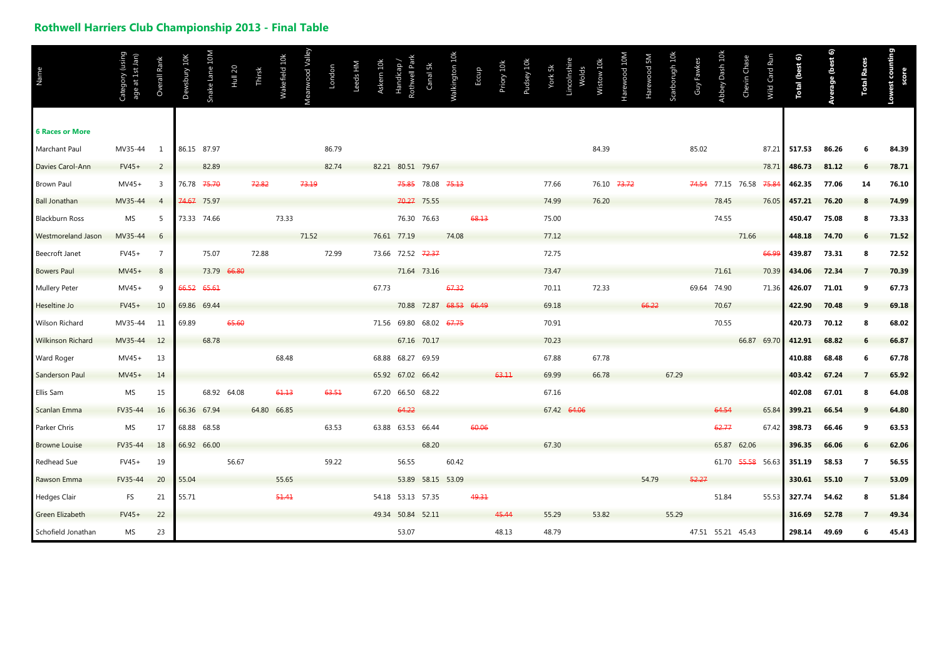## **Rothwell Harriers Club Championship 2013 - Final Table**

|                          |                                                 |                |              |                |                |        |               |                 |        |          |           |                        |                   |                         |       |            |            |                       |       |             |              |             |                |            |                         |                   |               |                       |                         |                    | counting |
|--------------------------|-------------------------------------------------|----------------|--------------|----------------|----------------|--------|---------------|-----------------|--------|----------|-----------|------------------------|-------------------|-------------------------|-------|------------|------------|-----------------------|-------|-------------|--------------|-------------|----------------|------------|-------------------------|-------------------|---------------|-----------------------|-------------------------|--------------------|----------|
| Name                     | Guisn) <i>K</i> uoɓa;<br>age at 1st Jan)<br>්ට් | Overall Rank   | Dewsbury 10K | Snake Lane 10M | <b>Hull 20</b> | Thirsk | Wakefield 10k | Meanwood Valley | London | Leeds HM | Askern 10 | Handicap<br>Rothwell P | Canal 5k          | Walkington 10k          | Eccup | Priory 10k | Pudsey 10k | Lincolnshi<br>York 5k | Wolds | Wistow 10k  | Harewood 10M | Harewood 5M | Scarborugh 10k | Guy Fawkes | Abbey Dash 10k          | Chevin Chase      | Wild Card Run | <b>Total (best 6)</b> | <b>Average (best 6)</b> | <b>Total Races</b> | score    |
| <b>6 Races or More</b>   |                                                 |                |              |                |                |        |               |                 |        |          |           |                        |                   |                         |       |            |            |                       |       |             |              |             |                |            |                         |                   |               |                       |                         |                    |          |
| Marchant Paul            | MV35-44                                         | $\mathbf{1}$   | 86.15 87.97  |                |                |        |               |                 | 86.79  |          |           |                        |                   |                         |       |            |            |                       |       | 84.39       |              |             |                | 85.02      |                         |                   | 87.21         | 517.53                | 86.26                   | 6                  | 84.39    |
| Davies Carol-Ann         | $FV45+$                                         | 2              |              | 82.89          |                |        |               |                 | 82.74  |          |           | 82.21 80.51 79.67      |                   |                         |       |            |            |                       |       |             |              |             |                |            |                         |                   | 78.71         | 486.73                | 81.12                   | 6                  | 78.71    |
| Brown Paul               | $MV45+$                                         | 3              | 76.78        | 75.70          |                | 72.82  |               | 73.19           |        |          |           |                        | 75.85 78.08 75.13 |                         |       |            |            | 77.66                 |       | 76.10 73.72 |              |             |                |            | 74.54 77.15 76.58 75.84 |                   |               | 462.35                | 77.06                   | 14                 | 76.10    |
| <b>Ball Jonathan</b>     | MV35-44                                         | $\overline{4}$ | 74.67        | 75.97          |                |        |               |                 |        |          |           |                        | 70.27 75.55       |                         |       |            |            | 74.99                 |       | 76.20       |              |             |                |            | 78.45                   |                   | 76.05         | 457.21                | 76.20                   | -8                 | 74.99    |
| <b>Blackburn Ross</b>    | MS                                              | .5             |              | 73.33 74.66    |                |        | 73.33         |                 |        |          |           |                        | 76.30 76.63       |                         | 68.13 |            |            | 75.00                 |       |             |              |             |                |            | 74.55                   |                   |               | 450.47                | 75.08                   | -8                 | 73.33    |
| Westmoreland Jason       | MV35-44                                         | 6              |              |                |                |        |               | 71.52           |        |          |           | 76.61 77.19            |                   | 74.08                   |       |            |            | 77.12                 |       |             |              |             |                |            |                         | 71.66             |               | 448.18                | 74.70                   | -6                 | 71.52    |
| Beecroft Janet           | $FV45+$                                         | 7              |              | 75.07          |                | 72.88  |               |                 | 72.99  |          |           | 73.66 72.52 72.37      |                   |                         |       |            |            | 72.75                 |       |             |              |             |                |            |                         |                   | 66.9          | 439.87                | 73.31                   | -8                 | 72.52    |
| <b>Bowers Paul</b>       | $MV45+$                                         | 8              |              | 73.79          | 66.80          |        |               |                 |        |          |           |                        | 71.64 73.16       |                         |       |            |            | 73.47                 |       |             |              |             |                |            | 71.61                   |                   | 70.39         | 434.06                | 72.34                   | $\overline{7}$     | 70.39    |
| <b>Mullery Peter</b>     | $MV45+$                                         | 9              | 66.52        | 65.61          |                |        |               |                 |        |          | 67.73     |                        |                   | 67.32                   |       |            |            | 70.11                 |       | 72.33       |              |             |                |            | 69.64 74.90             |                   | 71.36         | 426.07                | 71.01                   | 9                  | 67.73    |
| Heseltine Jo             | $FV45+$                                         | 10             | 69.86 69.44  |                |                |        |               |                 |        |          |           |                        |                   | 70.88 72.87 68.53 66.49 |       |            |            | 69.18                 |       |             |              | 66.22       |                |            | 70.67                   |                   |               | 422.90                | 70.48                   | 9                  | 69.18    |
| Wilson Richard           | MV35-44                                         | 11             | 69.89        |                | 65.60          |        |               |                 |        |          |           | 71.56 69.80            | 68.02 67.75       |                         |       |            |            | 70.91                 |       |             |              |             |                |            | 70.55                   |                   |               | 420.73                | 70.12                   | 8                  | 68.02    |
| <b>Wilkinson Richard</b> | MV35-44                                         | 12             |              | 68.78          |                |        |               |                 |        |          |           |                        | 67.16 70.17       |                         |       |            |            | 70.23                 |       |             |              |             |                |            |                         |                   | 66.87 69.70   | 412.91                | 68.82                   | 6                  | 66.87    |
| Ward Roger               | $MV45+$                                         | 13             |              |                |                |        | 68.48         |                 |        |          |           | 68.88 68.27 69.59      |                   |                         |       |            |            | 67.88                 |       | 67.78       |              |             |                |            |                         |                   |               | 410.88                | 68.48                   | 6                  | 67.78    |
| Sanderson Paul           | $MV45+$                                         | 14             |              |                |                |        |               |                 |        |          |           | 65.92 67.02 66.42      |                   |                         |       | 63.11      |            | 69.99                 |       | 66.78       |              |             | 67.29          |            |                         |                   |               | 403.42                | 67.24                   | $\overline{7}$     | 65.92    |
| Ellis Sam                | MS                                              | 15             |              | 68.92 64.08    |                |        | 61.13         |                 | 63.51  |          |           | 67.20 66.50 68.22      |                   |                         |       |            |            | 67.16                 |       |             |              |             |                |            |                         |                   |               | 402.08                | 67.01                   | -8                 | 64.08    |
| Scanlan Emma             | FV35-44                                         | 16             | 66.36 67.94  |                |                |        | 64.80 66.85   |                 |        |          |           | 64.22                  |                   |                         |       |            |            | 67.42 64.06           |       |             |              |             |                |            | 64.54                   |                   | 65.84         | 399.21                | 66.54                   |                    | 64.80    |
| Parker Chris             | MS                                              | 17             | 68.88        | 68.58          |                |        |               |                 | 63.53  |          |           | 63.88 63.53 66.44      |                   |                         | 60.06 |            |            |                       |       |             |              |             |                |            | 62.77                   |                   | 67.42         | 398.73                | 66.46                   | 9                  | 63.53    |
| <b>Browne Louise</b>     | FV35-44                                         | 18             | 66.92 66.00  |                |                |        |               |                 |        |          |           |                        | 68.20             |                         |       |            |            | 67.30                 |       |             |              |             |                |            |                         | 65.87 62.06       |               | 396.35                | 66.06                   | 6                  | 62.06    |
| Redhead Sue              | FV45+                                           | 19             |              |                | 56.67          |        |               |                 | 59.22  |          |           | 56.55                  |                   | 60.42                   |       |            |            |                       |       |             |              |             |                |            |                         | 61.70 55.58 56.63 |               | 351.19                | 58.53                   | $\overline{7}$     | 56.55    |
| Rawson Emma              | FV35-44                                         | 20             | 55.04        |                |                |        | 55.65         |                 |        |          |           |                        |                   | 53.89 58.15 53.09       |       |            |            |                       |       |             |              | 54.79       |                | 52.27      |                         |                   |               | 330.61                | 55.10                   | - 7                | 53.09    |
| <b>Hedges Clair</b>      | FS                                              | 21             | 55.71        |                |                |        | 51.41         |                 |        |          |           | 54.18 53.13 57.35      |                   |                         | 49.31 |            |            |                       |       |             |              |             |                |            | 51.84                   |                   | 55.53         | 327.74                | 54.62                   | -8                 | 51.84    |
| Green Elizabeth          | $FV45+$                                         | 22             |              |                |                |        |               |                 |        |          |           | 49.34 50.84 52.11      |                   |                         |       | 45.44      |            | 55.29                 |       | 53.82       |              |             | 55.29          |            |                         |                   |               | 316.69                | 52.78                   | $\overline{7}$     | 49.34    |
| Schofield Jonathan       | MS                                              | 23             |              |                |                |        |               |                 |        |          |           | 53.07                  |                   |                         |       | 48.13      |            | 48.79                 |       |             |              |             |                |            | 47.51 55.21 45.43       |                   |               | 298.14                | 49.69                   | 6                  | 45.43    |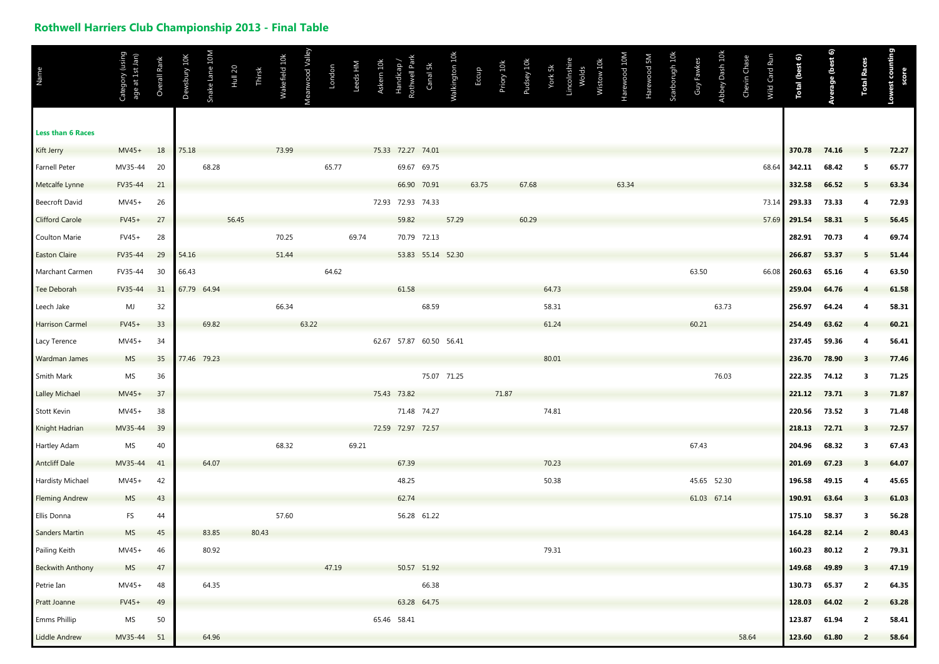## **Rothwell Harriers Club Championship 2013 - Final Table**

| Name<br><b>Less than 6 Races</b> | Category (using<br>age at 1st Jan) | Overall Rank | Dewsbury 10K | Snake Lane 10M | Hull <sub>20</sub> | Thirsk | Wakefield 10k | Meanwood Valley | London | Leeds HM | Askern 10 | Rothwell Pa<br>Handicap | Canal 5k            | Walkington 10k | Eccup | Priory 10k | Pudsey 10k | York 5k | Lincolnshi<br>Wolds | Wistow <sub>10</sub> | Harewood 10M | Harewood 5M | Scarborugh 10k | Guy Fawkes  | Abbey Dash 10k | Chevin Chase | Wild Card Run | <b>Total (best 6)</b> | Average (best 6) | <b>Total Races</b>      | counting<br>score |
|----------------------------------|------------------------------------|--------------|--------------|----------------|--------------------|--------|---------------|-----------------|--------|----------|-----------|-------------------------|---------------------|----------------|-------|------------|------------|---------|---------------------|----------------------|--------------|-------------|----------------|-------------|----------------|--------------|---------------|-----------------------|------------------|-------------------------|-------------------|
| Kift Jerry                       | $MV45+$                            | 18           | 75.18        |                |                    |        | 73.99         |                 |        |          |           | 75.33 72.27 74.01       |                     |                |       |            |            |         |                     |                      |              |             |                |             |                |              |               | 370.78                | 74.16            | 5                       | 72.27             |
| <b>Farnell Peter</b>             | MV35-44                            | 20           |              | 68.28          |                    |        |               |                 | 65.77  |          |           |                         | 69.67 69.75         |                |       |            |            |         |                     |                      |              |             |                |             |                |              | 68.64         | 342.11                | 68.42            | 5                       | 65.77             |
| Metcalfe Lynne                   | FV35-44                            | 21           |              |                |                    |        |               |                 |        |          |           |                         | 66.90 70.91         |                | 63.75 |            | 67.68      |         |                     |                      | 63.34        |             |                |             |                |              |               | 332.58                | 66.52            | - 5                     | 63.34             |
| Beecroft David                   | $MV45+$                            | 26           |              |                |                    |        |               |                 |        |          |           | 72.93 72.93 74.33       |                     |                |       |            |            |         |                     |                      |              |             |                |             |                |              | 73.14         | 293.33                | 73.33            | -4                      | 72.93             |
| <b>Clifford Carole</b>           | $FV45+$                            | 27           |              |                | 56.45              |        |               |                 |        |          |           | 59.82                   |                     | 57.29          |       |            | 60.29      |         |                     |                      |              |             |                |             |                |              | 57.69         | 291.54                | 58.31            | - 5                     | 56.45             |
| Coulton Marie                    | $FV45+$                            | 28           |              |                |                    |        | 70.25         |                 |        | 69.74    |           |                         | 70.79 72.13         |                |       |            |            |         |                     |                      |              |             |                |             |                |              |               | 282.91                | 70.73            | -4                      | 69.74             |
| <b>Easton Claire</b>             | FV35-44                            | 29           | 54.16        |                |                    |        | 51.44         |                 |        |          |           |                         | 53.83  55.14  52.30 |                |       |            |            |         |                     |                      |              |             |                |             |                |              |               | 266.87                | 53.37            | -5                      | 51.44             |
| Marchant Carmen                  | FV35-44                            | 30           | 66.43        |                |                    |        |               |                 | 64.62  |          |           |                         |                     |                |       |            |            |         |                     |                      |              |             |                | 63.50       |                |              | 66.08         | 260.63                | 65.16            | -4                      | 63.50             |
| Tee Deborah                      | FV35-44                            | 31           | 67.79 64.94  |                |                    |        |               |                 |        |          |           | 61.58                   |                     |                |       |            |            | 64.73   |                     |                      |              |             |                |             |                |              |               | 259.04                | 64.76            |                         | 61.58             |
| Leech Jake                       | MJ                                 | 32           |              |                |                    |        | 66.34         |                 |        |          |           |                         | 68.59               |                |       |            |            | 58.31   |                     |                      |              |             |                |             | 63.73          |              |               | 256.97                | 64.24            |                         | 58.31             |
| <b>Harrison Carmel</b>           | $FV45+$                            | 33           |              | 69.82          |                    |        |               | 63.22           |        |          |           |                         |                     |                |       |            |            | 61.24   |                     |                      |              |             |                | 60.21       |                |              |               | 254.49                | 63.62            |                         | 60.21             |
| Lacy Terence                     | MV45+                              | 34           |              |                |                    |        |               |                 |        |          |           | 62.67 57.87 60.50 56.41 |                     |                |       |            |            |         |                     |                      |              |             |                |             |                |              |               | 237.45                | 59.36            | $\overline{4}$          | 56.41             |
| Wardman James                    | <b>MS</b>                          | 35           |              | 77.46 79.23    |                    |        |               |                 |        |          |           |                         |                     |                |       |            |            | 80.01   |                     |                      |              |             |                |             |                |              |               | 236.70                | 78.90            | $\overline{\mathbf{3}}$ | 77.46             |
| Smith Mark                       | MS                                 | 36           |              |                |                    |        |               |                 |        |          |           |                         |                     | 75.07 71.25    |       |            |            |         |                     |                      |              |             |                |             | 76.03          |              |               | 222.35                | 74.12            | -3                      | 71.25             |
| <b>Lalley Michael</b>            | $MV45+$                            | 37           |              |                |                    |        |               |                 |        |          |           | 75.43 73.82             |                     |                |       | 71.87      |            |         |                     |                      |              |             |                |             |                |              |               | 221.12                | 73.71            | $\overline{\mathbf{3}}$ | 71.87             |
| Stott Kevin                      | $MV45+$                            | 38           |              |                |                    |        |               |                 |        |          |           |                         | 71.48 74.27         |                |       |            |            | 74.81   |                     |                      |              |             |                |             |                |              |               | 220.56                | 73.52            | - 3                     | 71.48             |
| Knight Hadrian                   | MV35-44                            | 39           |              |                |                    |        |               |                 |        |          |           | 72.59 72.97 72.57       |                     |                |       |            |            |         |                     |                      |              |             |                |             |                |              |               | 218.13                | 72.71            | -3                      | 72.57             |
| Hartley Adam                     | MS                                 | 40           |              |                |                    |        | 68.32         |                 |        | 69.21    |           |                         |                     |                |       |            |            |         |                     |                      |              |             |                | 67.43       |                |              |               | 204.96                | 68.32            | -3                      | 67.43             |
| <b>Antcliff Dale</b>             | MV35-44                            | 41           |              | 64.07          |                    |        |               |                 |        |          |           | 67.39                   |                     |                |       |            |            | 70.23   |                     |                      |              |             |                |             |                |              |               | 201.69                | 67.23            | - 3                     | 64.07             |
| Hardisty Michael                 | MV45+                              | 42           |              |                |                    |        |               |                 |        |          |           | 48.25                   |                     |                |       |            |            | 50.38   |                     |                      |              |             |                |             | 45.65 52.30    |              |               | 196.58                | 49.15            | $\boldsymbol{A}$        | 45.65             |
| <b>Fleming Andrew</b>            | <b>MS</b>                          | 43           |              |                |                    |        |               |                 |        |          |           | 62.74                   |                     |                |       |            |            |         |                     |                      |              |             |                | 61.03 67.14 |                |              |               | 190.91                | 63.64            | - 3                     | 61.03             |
| Ellis Donna                      | FS                                 | 44           |              |                |                    |        | 57.60         |                 |        |          |           |                         | 56.28 61.22         |                |       |            |            |         |                     |                      |              |             |                |             |                |              |               | 175.10                | 58.37            | -3                      | 56.28             |
| <b>Sanders Martin</b>            | <b>MS</b>                          | 45           |              | 83.85          |                    | 80.43  |               |                 |        |          |           |                         |                     |                |       |            |            |         |                     |                      |              |             |                |             |                |              |               | 164.28                | 82.14            | $\overline{2}$          | 80.43             |
| Pailing Keith                    | $MV45+$                            | 46           |              | 80.92          |                    |        |               |                 |        |          |           |                         |                     |                |       |            |            | 79.31   |                     |                      |              |             |                |             |                |              |               | 160.23                | 80.12            | $\overline{2}$          | 79.31             |
| <b>Beckwith Anthony</b>          | <b>MS</b>                          | 47           |              |                |                    |        |               |                 | 47.19  |          |           |                         | 50.57 51.92         |                |       |            |            |         |                     |                      |              |             |                |             |                |              |               | 149.68                | 49.89            | $\overline{\mathbf{3}}$ | 47.19             |
| Petrie Ian                       | $MV45+$                            | 48           |              | 64.35          |                    |        |               |                 |        |          |           |                         | 66.38               |                |       |            |            |         |                     |                      |              |             |                |             |                |              |               | 130.73                | 65.37            | $\overline{2}$          | 64.35             |
| Pratt Joanne                     | $FV45+$                            | 49           |              |                |                    |        |               |                 |        |          |           |                         | 63.28 64.75         |                |       |            |            |         |                     |                      |              |             |                |             |                |              |               | 128.03                | 64.02            | $\overline{2}$          | 63.28             |
| Emms Phillip                     | MS                                 | 50           |              |                |                    |        |               |                 |        |          |           | 65.46 58.41             |                     |                |       |            |            |         |                     |                      |              |             |                |             |                |              |               | 123.87                | 61.94            | $\overline{2}$          | 58.41             |
| Liddle Andrew                    | MV35-44                            | 51           |              | 64.96          |                    |        |               |                 |        |          |           |                         |                     |                |       |            |            |         |                     |                      |              |             |                |             |                | 58.64        |               | 123.60 61.80          |                  | $\overline{2}$          | 58.64             |